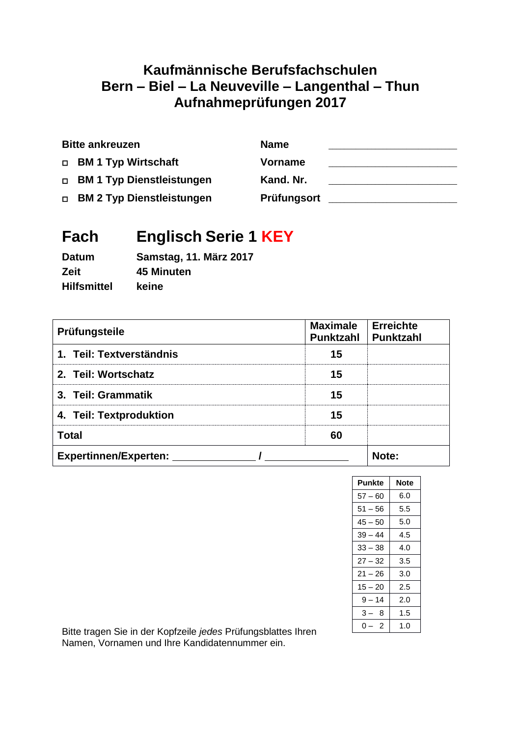# **Kaufmännische Berufsfachschulen Bern – Biel – La Neuveville – Langenthal – Thun Aufnahmeprüfungen 2017**

| <b>Bitte ankreuzen</b>      | <b>Name</b>    |  |
|-----------------------------|----------------|--|
| □ BM 1 Typ Wirtschaft       | <b>Vorname</b> |  |
| □ BM 1 Typ Dienstleistungen | Kand. Nr.      |  |
| □ BM 2 Typ Dienstleistungen | Prüfungsort    |  |

# **Fach Englisch Serie 1 KEY**

| <b>Datum</b>       | <b>Samstag, 11. März 2017</b> |
|--------------------|-------------------------------|
| <b>Zeit</b>        | 45 Minuten                    |
| <b>Hilfsmittel</b> | keine                         |

| Prüfungsteile                | <b>Maximale</b><br>Punktzahl | <b>Erreichte</b><br>Punktzahl |
|------------------------------|------------------------------|-------------------------------|
| 1. Teil: Textverständnis     | 15                           |                               |
| 2. Teil: Wortschatz          | 15                           |                               |
| 3. Teil: Grammatik           | 15                           |                               |
| 4. Teil: Textproduktion      | 15                           |                               |
| <b>Total</b>                 | 60                           |                               |
| <b>Expertinnen/Experten:</b> |                              | Note:                         |

| Punkte    | Note |
|-----------|------|
| $57 - 60$ | 6.0  |
| $51 - 56$ | 5.5  |
| 45 – 50   | 5.0  |
| $39 - 44$ | 4.5  |
| $33 - 38$ | 4.0  |
| $27 - 32$ | 3.5  |
| $21 - 26$ | 3.0  |
| $15 - 20$ | 2.5  |
| $9 - 14$  | 2.0  |
| 3 –<br>8  | 1.5  |
| 2<br>0    | 1.0  |

Bitte tragen Sie in der Kopfzeile *jedes* Prüfungsblattes Ihren Namen, Vornamen und Ihre Kandidatennummer ein.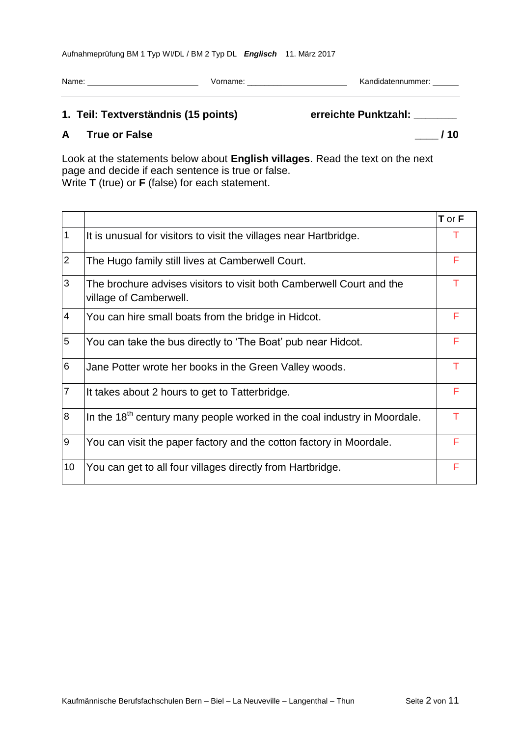| Name: | Vorname: | Kandidatennummer: |
|-------|----------|-------------------|
|       |          |                   |

# **1. Teil: Textverständnis (15 points) erreichte Punktzahl: \_\_\_\_\_\_\_\_\_\_\_**

# **A True or False \_\_\_\_ / 10**

Look at the statements below about **English villages**. Read the text on the next page and decide if each sentence is true or false. Write **T** (true) or **F** (false) for each statement.

|                |                                                                                                | T or F |
|----------------|------------------------------------------------------------------------------------------------|--------|
| $\mathbf 1$    | It is unusual for visitors to visit the villages near Hartbridge.                              |        |
| $ 2\rangle$    | The Hugo family still lives at Camberwell Court.                                               | F      |
| 3              | The brochure advises visitors to visit both Camberwell Court and the<br>village of Camberwell. |        |
| $\overline{4}$ | You can hire small boats from the bridge in Hidcot.                                            | F      |
| 5              | You can take the bus directly to 'The Boat' pub near Hidcot.                                   | F      |
| 6              | Jane Potter wrote her books in the Green Valley woods.                                         | т      |
| $\overline{7}$ | It takes about 2 hours to get to Tatterbridge.                                                 | F      |
| 8              | In the 18 <sup>th</sup> century many people worked in the coal industry in Moordale.           | т      |
| 9              | You can visit the paper factory and the cotton factory in Moordale.                            | F      |
| 10             | You can get to all four villages directly from Hartbridge.                                     | F      |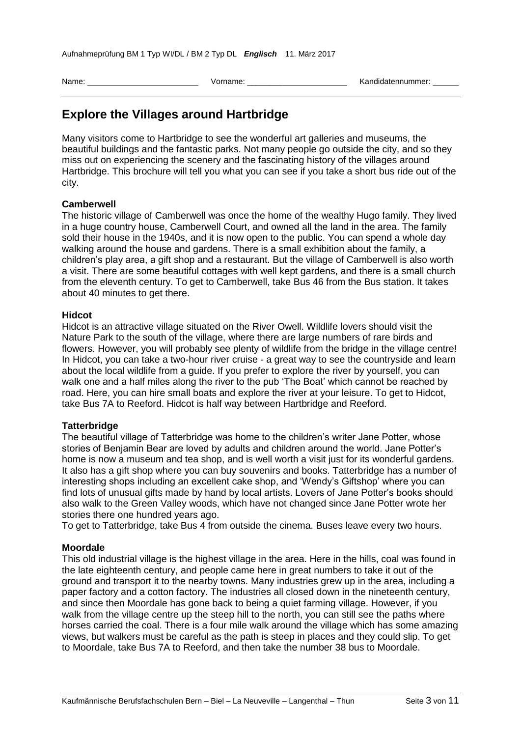| Name: | orname. | .andidatennummer |
|-------|---------|------------------|
|       |         |                  |

# **Explore the Villages around Hartbridge**

Many visitors come to Hartbridge to see the wonderful art galleries and museums, the beautiful buildings and the fantastic parks. Not many people go outside the city, and so they miss out on experiencing the scenery and the fascinating history of the villages around Hartbridge. This brochure will tell you what you can see if you take a short bus ride out of the city.

#### **Camberwell**

The historic village of Camberwell was once the home of the wealthy Hugo family. They lived in a huge country house, Camberwell Court, and owned all the land in the area. The family sold their house in the 1940s, and it is now open to the public. You can spend a whole day walking around the house and gardens. There is a small exhibition about the family, a children's play area, a gift shop and a restaurant. But the village of Camberwell is also worth a visit. There are some beautiful cottages with well kept gardens, and there is a small church from the eleventh century. To get to Camberwell, take Bus 46 from the Bus station. It takes about 40 minutes to get there.

#### **Hidcot**

Hidcot is an attractive village situated on the River Owell. Wildlife lovers should visit the Nature Park to the south of the village, where there are large numbers of rare birds and flowers. However, you will probably see plenty of wildlife from the bridge in the village centre! In Hidcot, you can take a two-hour river cruise - a great way to see the countryside and learn about the local wildlife from a guide. If you prefer to explore the river by yourself, you can walk one and a half miles along the river to the pub 'The Boat' which cannot be reached by road. Here, you can hire small boats and explore the river at your leisure. To get to Hidcot, take Bus 7A to Reeford. Hidcot is half way between Hartbridge and Reeford.

#### **Tatterbridge**

The beautiful village of Tatterbridge was home to the children's writer Jane Potter, whose stories of Benjamin Bear are loved by adults and children around the world. Jane Potter's home is now a museum and tea shop, and is well worth a visit just for its wonderful gardens. It also has a gift shop where you can buy souvenirs and books. Tatterbridge has a number of interesting shops including an excellent cake shop, and 'Wendy's Giftshop' where you can find lots of unusual gifts made by hand by local artists. Lovers of Jane Potter's books should also walk to the Green Valley woods, which have not changed since Jane Potter wrote her stories there one hundred years ago.

To get to Tatterbridge, take Bus 4 from outside the cinema. Buses leave every two hours.

#### **Moordale**

This old industrial village is the highest village in the area. Here in the hills, coal was found in the late eighteenth century, and people came here in great numbers to take it out of the ground and transport it to the nearby towns. Many industries grew up in the area, including a paper factory and a cotton factory. The industries all closed down in the nineteenth century, and since then Moordale has gone back to being a quiet farming village. However, if you walk from the village centre up the steep hill to the north, you can still see the paths where horses carried the coal. There is a four mile walk around the village which has some amazing views, but walkers must be careful as the path is steep in places and they could slip. To get to Moordale, take Bus 7A to Reeford, and then take the number 38 bus to Moordale.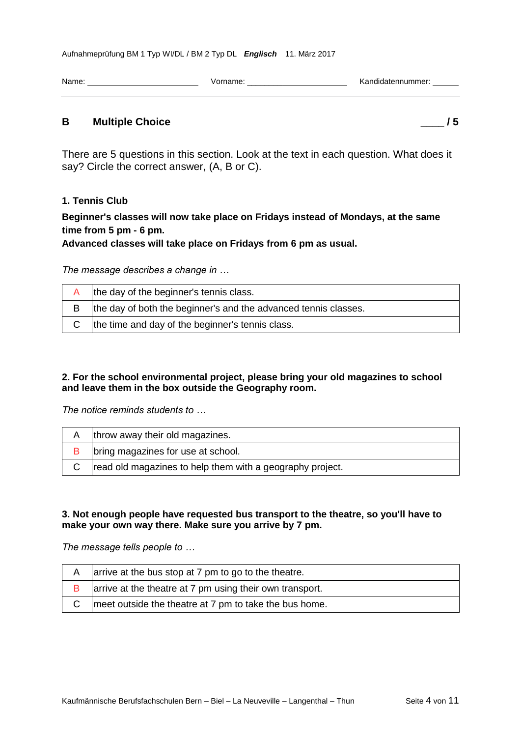| Name | ______ | ----<br>$\sim$ $\sim$ $\sim$<br>че.<br>. |
|------|--------|------------------------------------------|
|      |        |                                          |

#### **B Multiple Choice \_\_\_\_ / 5**

There are 5 questions in this section. Look at the text in each question. What does it say? Circle the correct answer, (A, B or C).

#### **1. Tennis Club**

## **Beginner's classes will now take place on Fridays instead of Mondays, at the same time from 5 pm - 6 pm.**

#### **Advanced classes will take place on Fridays from 6 pm as usual.**

*The message describes a change in …*

|   | the day of the beginner's tennis class.                         |
|---|-----------------------------------------------------------------|
| в | the day of both the beginner's and the advanced tennis classes. |
|   | the time and day of the beginner's tennis class.                |

#### **2. For the school environmental project, please bring your old magazines to school and leave them in the box outside the Geography room.**

*The notice reminds students to …*

| throw away their old magazines.                           |
|-----------------------------------------------------------|
| bring magazines for use at school.                        |
| read old magazines to help them with a geography project. |

#### **3. Not enough people have requested bus transport to the theatre, so you'll have to make your own way there. Make sure you arrive by 7 pm.**

*The message tells people to …*

| A | arrive at the bus stop at 7 pm to go to the theatre.     |
|---|----------------------------------------------------------|
|   | arrive at the theatre at 7 pm using their own transport. |
|   | meet outside the theatre at 7 pm to take the bus home.   |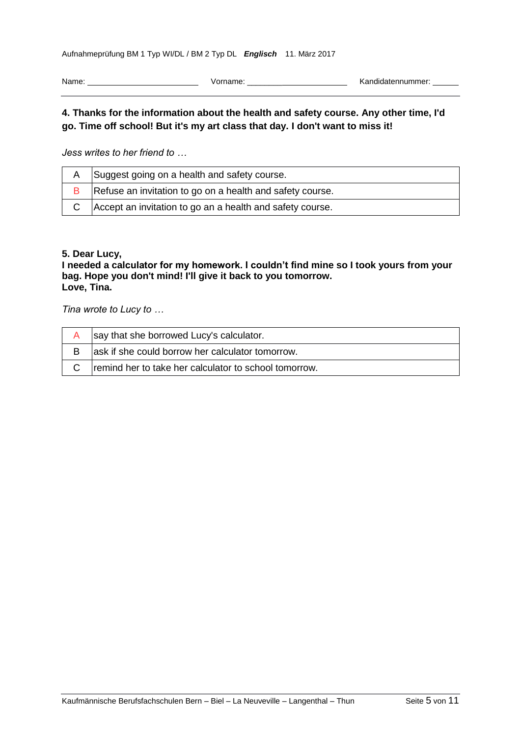Name: Vorname: \_\_\_\_\_\_\_\_ Kandidatennummer:

### **4. Thanks for the information about the health and safety course. Any other time, I'd go. Time off school! But it's my art class that day. I don't want to miss it!**

*Jess writes to her friend to …*

|   | Suggest going on a health and safety course.              |
|---|-----------------------------------------------------------|
| в | Refuse an invitation to go on a health and safety course. |
|   | Accept an invitation to go an a health and safety course. |

#### **5. Dear Lucy,**

#### **I needed a calculator for my homework. I couldn't find mine so I took yours from your bag. Hope you don't mind! I'll give it back to you tomorrow. Love, Tina.**

*Tina wrote to Lucy to …*

| say that she borrowed Lucy's calculator.              |
|-------------------------------------------------------|
| ask if she could borrow her calculator tomorrow.      |
| remind her to take her calculator to school tomorrow. |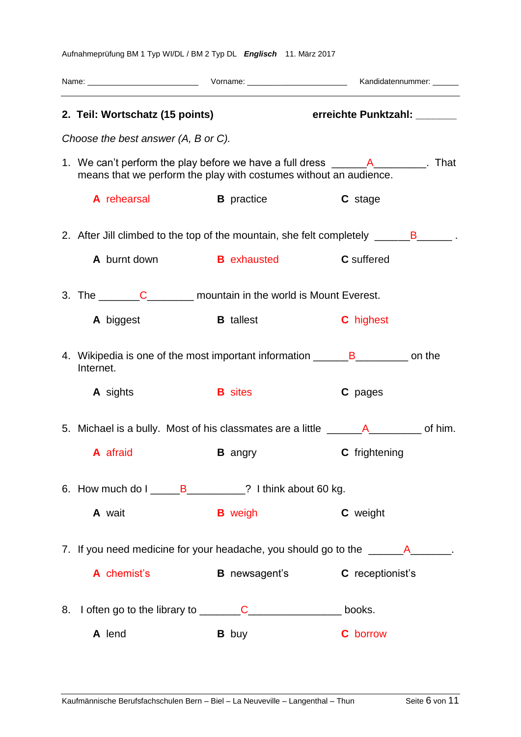|    | 2. Teil: Wortschatz (15 points)                                            |                      | erreichte Punktzahl: _______                                                              |
|----|----------------------------------------------------------------------------|----------------------|-------------------------------------------------------------------------------------------|
|    | Choose the best answer (A, B or C).                                        |                      |                                                                                           |
|    | means that we perform the play with costumes without an audience.          |                      | 1. We can't perform the play before we have a full dress ____________________. That       |
|    | A rehearsal                                                                | <b>B</b> practice    | C stage                                                                                   |
|    |                                                                            |                      | 2. After Jill climbed to the top of the mountain, she felt completely ______B______.      |
|    | A burnt down                                                               | <b>Exhausted B</b>   | <b>C</b> suffered                                                                         |
|    | 3. The <u>C</u> _______C__________ mountain in the world is Mount Everest. |                      |                                                                                           |
|    | A biggest                                                                  | <b>B</b> tallest     | <b>C</b> highest                                                                          |
|    | Internet.                                                                  |                      | 4. Wikipedia is one of the most important information ________________________ on the     |
|    | <b>A</b> sights                                                            | <b>B</b> sites       | C pages                                                                                   |
|    |                                                                            |                      | 5. Michael is a bully. Most of his classmates are a little ______________________ of him. |
|    | A afraid                                                                   | <b>B</b> angry       | C frightening                                                                             |
|    | 6. How much do I _______B____________? I think about 60 kg.                |                      |                                                                                           |
|    | A wait                                                                     | <b>B</b> weigh       | C weight                                                                                  |
|    |                                                                            |                      | 7. If you need medicine for your headache, you should go to the ________________.         |
|    | A chemist's                                                                | <b>B</b> newsagent's | C receptionist's                                                                          |
| 8. |                                                                            |                      | books.                                                                                    |
|    | A lend                                                                     | <b>B</b> buy         | <b>C</b> borrow                                                                           |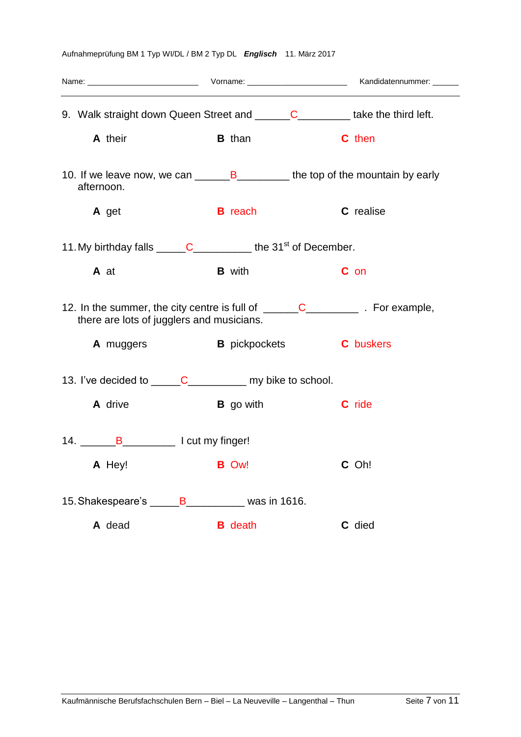| 9. Walk straight down Queen Street and _______C___________ take the third left.                                                                                     |                  |                                       |  |  |
|---------------------------------------------------------------------------------------------------------------------------------------------------------------------|------------------|---------------------------------------|--|--|
| A their                                                                                                                                                             | <b>B</b> than    | <b>C</b> then                         |  |  |
| 10. If we leave now, we can _________________________ the top of the mountain by early<br>afternoon.                                                                |                  |                                       |  |  |
| A get                                                                                                                                                               | <b>B</b> reach   | C realise                             |  |  |
| 11. My birthday falls $\underline{\hspace{1cm}} C$ the 31 <sup>st</sup> of December.                                                                                |                  |                                       |  |  |
| A at                                                                                                                                                                | <b>B</b> with    | C on                                  |  |  |
| 12. In the summer, the city centre is full of $\underline{\hspace{1cm}} C$ $\underline{\hspace{1cm}} C$ . For example,<br>there are lots of jugglers and musicians. |                  |                                       |  |  |
| <b>A</b> muggers                                                                                                                                                    |                  | <b>B</b> pickpockets <b>C</b> buskers |  |  |
| 13. I've decided to ______C______________ my bike to school.                                                                                                        |                  |                                       |  |  |
| A drive                                                                                                                                                             | <b>B</b> go with | C ride                                |  |  |
| 14. B_______________________ I cut my finger!                                                                                                                       |                  |                                       |  |  |
| A Hey! B Ow!                                                                                                                                                        |                  | C Oh!                                 |  |  |
| 15. Shakespeare's B_________ was in 1616.                                                                                                                           |                  |                                       |  |  |
| A dead                                                                                                                                                              | <b>B</b> death   | C died                                |  |  |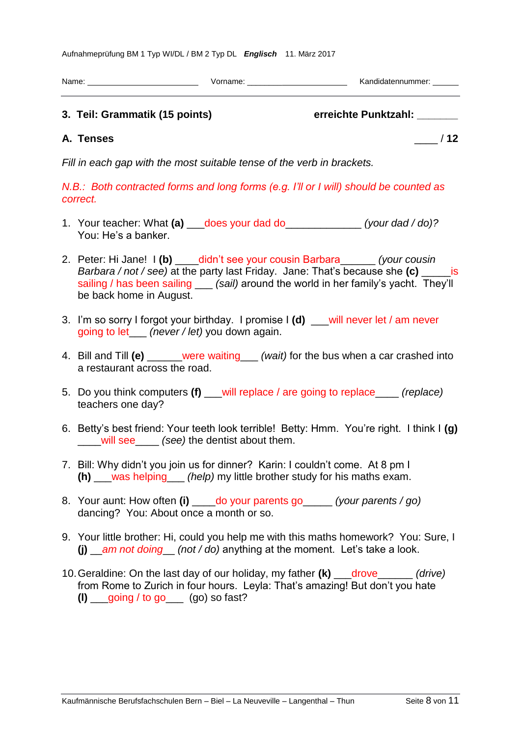| Name: | √orname: | sandir"<br>ummer: |
|-------|----------|-------------------|
|       |          |                   |
|       |          |                   |

# **3. Teil: Grammatik (15 points) erreichte Punktzahl: \_\_\_\_\_\_\_**

**A. Tenses** \_\_\_\_ / **12**

*Fill in each gap with the most suitable tense of the verb in brackets.*

*N.B.: Both contracted forms and long forms (e.g. I'll or I will) should be counted as correct.*

- 1. Your teacher: What **(a)** \_\_\_does your dad do\_\_\_\_\_\_\_\_\_\_\_\_\_ *(your dad / do)?* You: He's a banker.
- 2. Peter: Hi Jane! I **(b)** \_\_\_\_didn't see your cousin Barbara\_\_\_\_\_\_ *(your cousin Barbara / not / see)* at the party last Friday. Jane: That's because she **(c)** \_\_\_\_\_is sailing / has been sailing (sail) around the world in her family's yacht. They'll be back home in August.
- 3. I'm so sorry I forgot your birthday. I promise I **(d)** \_\_\_will never let / am never going to let\_\_\_ *(never / let)* you down again.
- 4. Bill and Till **(e)** \_\_\_\_\_\_were waiting\_\_\_ *(wait)* for the bus when a car crashed into a restaurant across the road.
- 5. Do you think computers **(f)** \_\_\_will replace / are going to replace\_\_\_\_ *(replace)* teachers one day?
- 6. Betty's best friend: Your teeth look terrible! Betty: Hmm. You're right. I think I **(g)** \_\_\_\_will see\_\_\_\_ *(see)* the dentist about them.
- 7. Bill: Why didn't you join us for dinner? Karin: I couldn't come. At 8 pm I **(h)** \_\_\_was helping\_\_\_ *(help)* my little brother study for his maths exam.
- 8. Your aunt: How often **(i)** \_\_\_\_do your parents go\_\_\_\_\_ *(your parents / go)* dancing? You: About once a month or so.
- 9. Your little brother: Hi, could you help me with this maths homework? You: Sure, I **(j)** \_\_*am not doing*\_\_ *(not / do)* anything at the moment. Let's take a look.
- 10.Geraldine: On the last day of our holiday, my father **(k)** \_\_\_drove\_\_\_\_\_\_ *(drive)* from Rome to Zurich in four hours. Leyla: That's amazing! But don't you hate **(l)** \_\_\_going / to go\_\_\_ (go) so fast?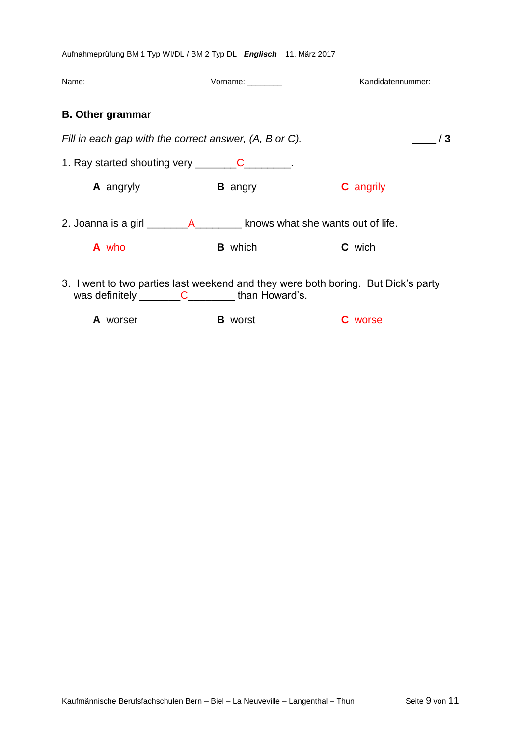| <b>B.</b> Other grammar                                                                                                                         |                |                  |  |
|-------------------------------------------------------------------------------------------------------------------------------------------------|----------------|------------------|--|
| Fill in each gap with the correct answer, (A, B or C).                                                                                          |                | /3               |  |
| 1. Ray started shouting very _______________________.                                                                                           |                |                  |  |
| A angryly                                                                                                                                       | <b>B</b> angry | <b>C</b> angrily |  |
| 2. Joanna is a girl _________________________ knows what she wants out of life.                                                                 |                |                  |  |
| A who                                                                                                                                           | <b>B</b> which | <b>C</b> wich    |  |
| 3. I went to two parties last weekend and they were both boring. But Dick's party<br>was definitely $\underline{\hspace{1cm}} C$ than Howard's. |                |                  |  |
| A worser                                                                                                                                        | <b>B</b> worst | <b>C</b> worse   |  |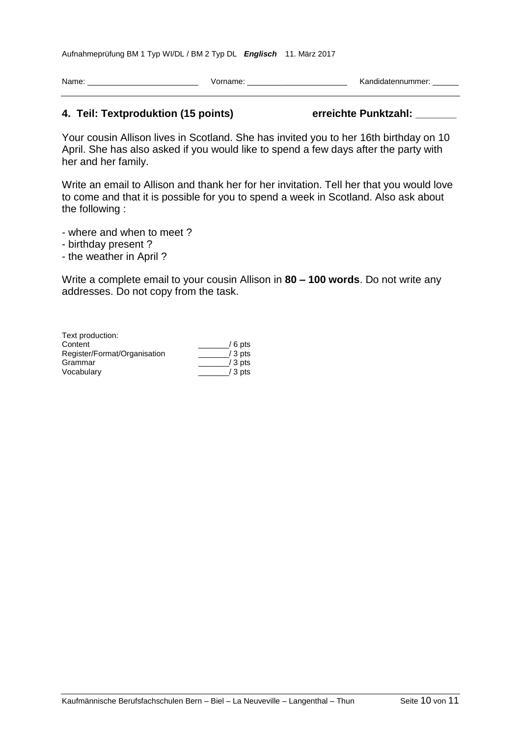| <b>Name</b> | .<br>_____ | $ -$<br>---<br>__ |
|-------------|------------|-------------------|
|             |            |                   |

#### **4. Teil: Textproduktion (15 points) erreichte Punktzahl: \_\_\_\_\_\_\_**

Your cousin Allison lives in Scotland. She has invited you to her 16th birthday on 10 April. She has also asked if you would like to spend a few days after the party with her and her family.

Write an email to Allison and thank her for her invitation. Tell her that you would love to come and that it is possible for you to spend a week in Scotland. Also ask about the following :

- where and when to meet ?

- birthday present ?
- the weather in April ?

Write a complete email to your cousin Allison in **80 – 100 words**. Do not write any addresses. Do not copy from the task.

| Text production:             |          |
|------------------------------|----------|
| Content                      | $/6$ pts |
| Register/Format/Organisation | $/3$ pts |
| Grammar                      | $/3$ pts |
| Vocabulary                   | / 3 pts  |